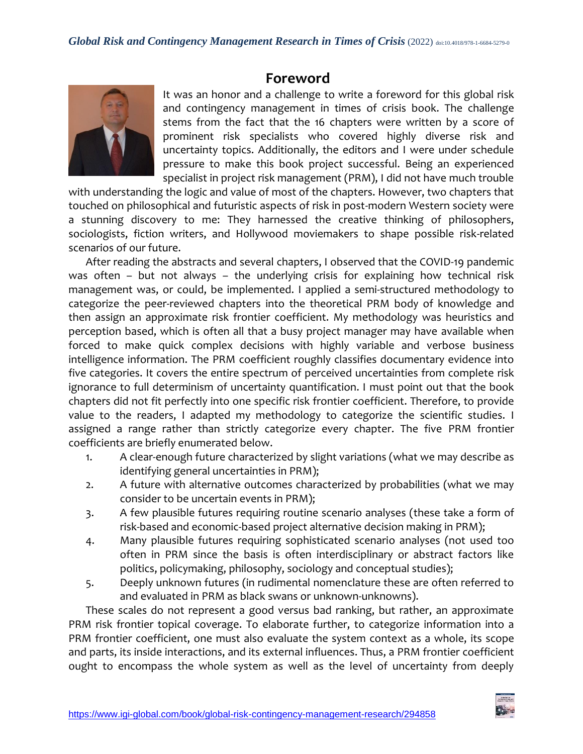# **Foreword**



It was an honor and a challenge to write a foreword for this global risk and contingency management in times of crisis book. The challenge stems from the fact that the 16 chapters were written by a score of prominent risk specialists who covered highly diverse risk and uncertainty topics. Additionally, the editors and I were under schedule pressure to make this book project successful. Being an experienced specialist in project risk management (PRM), I did not have much trouble

with understanding the logic and value of most of the chapters. However, two chapters that touched on philosophical and futuristic aspects of risk in post-modern Western society were a stunning discovery to me: They harnessed the creative thinking of philosophers, sociologists, fiction writers, and Hollywood moviemakers to shape possible risk-related scenarios of our future.

After reading the abstracts and several chapters, I observed that the COVID-19 pandemic was often – but not always – the underlying crisis for explaining how technical risk management was, or could, be implemented. I applied a semi-structured methodology to categorize the peer-reviewed chapters into the theoretical PRM body of knowledge and then assign an approximate risk frontier coefficient. My methodology was heuristics and perception based, which is often all that a busy project manager may have available when forced to make quick complex decisions with highly variable and verbose business intelligence information. The PRM coefficient roughly classifies documentary evidence into five categories. It covers the entire spectrum of perceived uncertainties from complete risk ignorance to full determinism of uncertainty quantification. I must point out that the book chapters did not fit perfectly into one specific risk frontier coefficient. Therefore, to provide value to the readers, I adapted my methodology to categorize the scientific studies. I assigned a range rather than strictly categorize every chapter. The five PRM frontier coefficients are briefly enumerated below.

- 1. A clear-enough future characterized by slight variations (what we may describe as identifying general uncertainties in PRM);
- 2. A future with alternative outcomes characterized by probabilities (what we may consider to be uncertain events in PRM);
- 3. A few plausible futures requiring routine scenario analyses (these take a form of risk-based and economic-based project alternative decision making in PRM);
- 4. Many plausible futures requiring sophisticated scenario analyses (not used too often in PRM since the basis is often interdisciplinary or abstract factors like politics, policymaking, philosophy, sociology and conceptual studies);
- 5. Deeply unknown futures (in rudimental nomenclature these are often referred to and evaluated in PRM as black swans or unknown-unknowns).

These scales do not represent a good versus bad ranking, but rather, an approximate PRM risk frontier topical coverage. To elaborate further, to categorize information into a PRM frontier coefficient, one must also evaluate the system context as a whole, its scope and parts, its inside interactions, and its external influences. Thus, a PRM frontier coefficient ought to encompass the whole system as well as the level of uncertainty from deeply

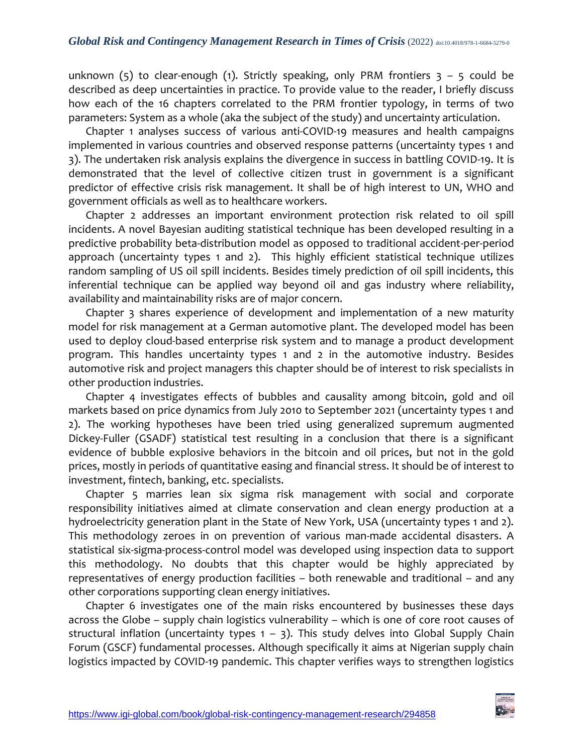unknown (5) to clear-enough (1). Strictly speaking, only PRM frontiers  $3 - 5$  could be described as deep uncertainties in practice. To provide value to the reader, I briefly discuss how each of the 16 chapters correlated to the PRM frontier typology, in terms of two parameters: System as a whole (aka the subject of the study) and uncertainty articulation.

Chapter 1 analyses success of various anti-COVID-19 measures and health campaigns implemented in various countries and observed response patterns (uncertainty types 1 and 3). The undertaken risk analysis explains the divergence in success in battling COVID-19. It is demonstrated that the level of collective citizen trust in government is a significant predictor of effective crisis risk management. It shall be of high interest to UN, WHO and government officials as well as to healthcare workers.

Chapter 2 addresses an important environment protection risk related to oil spill incidents. A novel Bayesian auditing statistical technique has been developed resulting in a predictive probability beta-distribution model as opposed to traditional accident-per-period approach (uncertainty types 1 and 2). This highly efficient statistical technique utilizes random sampling of US oil spill incidents. Besides timely prediction of oil spill incidents, this inferential technique can be applied way beyond oil and gas industry where reliability, availability and maintainability risks are of major concern.

Chapter 3 shares experience of development and implementation of a new maturity model for risk management at a German automotive plant. The developed model has been used to deploy cloud-based enterprise risk system and to manage a product development program. This handles uncertainty types 1 and 2 in the automotive industry. Besides automotive risk and project managers this chapter should be of interest to risk specialists in other production industries.

Chapter 4 investigates effects of bubbles and causality among bitcoin, gold and oil markets based on price dynamics from July 2010 to September 2021 (uncertainty types 1 and 2). The working hypotheses have been tried using generalized supremum augmented Dickey-Fuller (GSADF) statistical test resulting in a conclusion that there is a significant evidence of bubble explosive behaviors in the bitcoin and oil prices, but not in the gold prices, mostly in periods of quantitative easing and financial stress. It should be of interest to investment, fintech, banking, etc. specialists.

Chapter 5 marries lean six sigma risk management with social and corporate responsibility initiatives aimed at climate conservation and clean energy production at a hydroelectricity generation plant in the State of New York, USA (uncertainty types 1 and 2). This methodology zeroes in on prevention of various man-made accidental disasters. A statistical six-sigma-process-control model was developed using inspection data to support this methodology. No doubts that this chapter would be highly appreciated by representatives of energy production facilities – both renewable and traditional – and any other corporations supporting clean energy initiatives.

Chapter 6 investigates one of the main risks encountered by businesses these days across the Globe – supply chain logistics vulnerability – which is one of core root causes of structural inflation (uncertainty types  $1 - 3$ ). This study delves into Global Supply Chain Forum (GSCF) fundamental processes. Although specifically it aims at Nigerian supply chain logistics impacted by COVID-19 pandemic. This chapter verifies ways to strengthen logistics

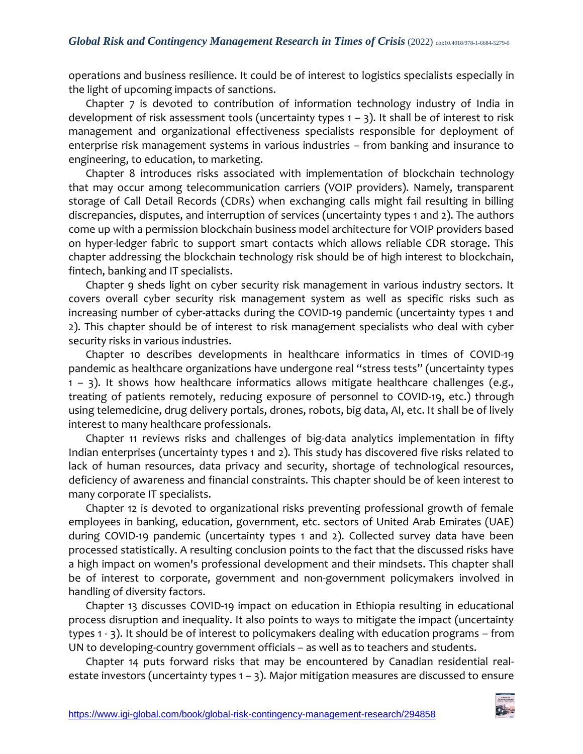operations and business resilience. It could be of interest to logistics specialists especially in the light of upcoming impacts of sanctions.

Chapter 7 is devoted to contribution of information technology industry of India in development of risk assessment tools (uncertainty types  $1 - 3$ ). It shall be of interest to risk management and organizational effectiveness specialists responsible for deployment of enterprise risk management systems in various industries – from banking and insurance to engineering, to education, to marketing.

Chapter 8 introduces risks associated with implementation of blockchain technology that may occur among telecommunication carriers (VOIP providers). Namely, transparent storage of Call Detail Records (CDRs) when exchanging calls might fail resulting in billing discrepancies, disputes, and interruption of services (uncertainty types 1 and 2). The authors come up with a permission blockchain business model architecture for VOIP providers based on hyper-ledger fabric to support smart contacts which allows reliable CDR storage. This chapter addressing the blockchain technology risk should be of high interest to blockchain, fintech, banking and IT specialists.

Chapter 9 sheds light on cyber security risk management in various industry sectors. It covers overall cyber security risk management system as well as specific risks such as increasing number of cyber-attacks during the COVID-19 pandemic (uncertainty types 1 and 2). This chapter should be of interest to risk management specialists who deal with cyber security risks in various industries.

Chapter 10 describes developments in healthcare informatics in times of COVID-19 pandemic as healthcare organizations have undergone real "stress tests" (uncertainty types  $1 - 3$ ). It shows how healthcare informatics allows mitigate healthcare challenges (e.g., treating of patients remotely, reducing exposure of personnel to COVID-19, etc.) through using telemedicine, drug delivery portals, drones, robots, big data, AI, etc. It shall be of lively interest to many healthcare professionals.

Chapter 11 reviews risks and challenges of big-data analytics implementation in fifty Indian enterprises (uncertainty types 1 and 2). This study has discovered five risks related to lack of human resources, data privacy and security, shortage of technological resources, deficiency of awareness and financial constraints. This chapter should be of keen interest to many corporate IT specialists.

Chapter 12 is devoted to organizational risks preventing professional growth of female employees in banking, education, government, etc. sectors of United Arab Emirates (UAE) during COVID-19 pandemic (uncertainty types 1 and 2). Collected survey data have been processed statistically. A resulting conclusion points to the fact that the discussed risks have a high impact on women's professional development and their mindsets. This chapter shall be of interest to corporate, government and non-government policymakers involved in handling of diversity factors.

Chapter 13 discusses COVID-19 impact on education in Ethiopia resulting in educational process disruption and inequality. It also points to ways to mitigate the impact (uncertainty types 1 - 3). It should be of interest to policymakers dealing with education programs – from UN to developing-country government officials – as well as to teachers and students.

Chapter 14 puts forward risks that may be encountered by Canadian residential realestate investors (uncertainty types  $1 - 3$ ). Major mitigation measures are discussed to ensure

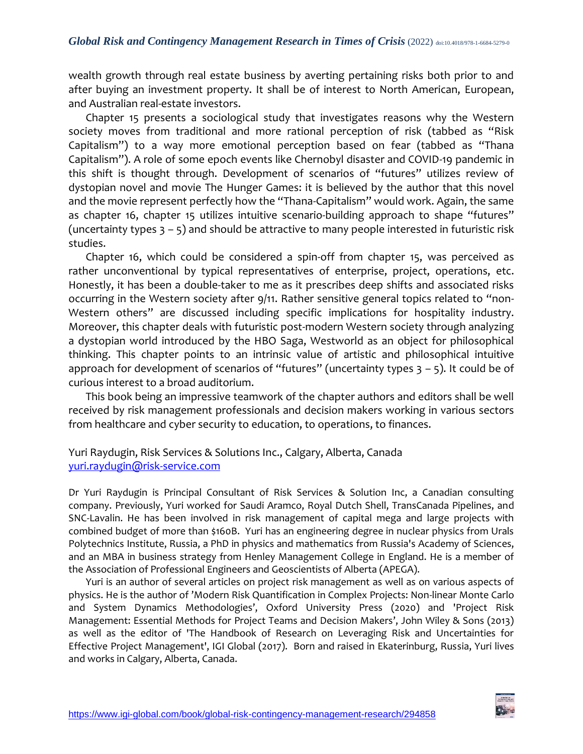wealth growth through real estate business by averting pertaining risks both prior to and after buying an investment property. It shall be of interest to North American, European, and Australian real-estate investors.

Chapter 15 presents a sociological study that investigates reasons why the Western society moves from traditional and more rational perception of risk (tabbed as "Risk Capitalism") to a way more emotional perception based on fear (tabbed as "Thana Capitalism"). A role of some epoch events like Chernobyl disaster and COVID-19 pandemic in this shift is thought through. Development of scenarios of "futures" utilizes review of dystopian novel and movie The Hunger Games: it is believed by the author that this novel and the movie represent perfectly how the "Thana-Capitalism" would work. Again, the same as chapter 16, chapter 15 utilizes intuitive scenario-building approach to shape "futures" (uncertainty types  $3 - 5$ ) and should be attractive to many people interested in futuristic risk studies.

Chapter 16, which could be considered a spin-off from chapter 15, was perceived as rather unconventional by typical representatives of enterprise, project, operations, etc. Honestly, it has been a double-taker to me as it prescribes deep shifts and associated risks occurring in the Western society after 9/11. Rather sensitive general topics related to "non-Western others" are discussed including specific implications for hospitality industry. Moreover, this chapter deals with futuristic post-modern Western society through analyzing a dystopian world introduced by the HBO Saga, Westworld as an object for philosophical thinking. This chapter points to an intrinsic value of artistic and philosophical intuitive approach for development of scenarios of "futures" (uncertainty types  $3 - 5$ ). It could be of curious interest to a broad auditorium.

This book being an impressive teamwork of the chapter authors and editors shall be well received by risk management professionals and decision makers working in various sectors from healthcare and cyber security to education, to operations, to finances.

Yuri Raydugin, Risk Services & Solutions Inc., Calgary, Alberta, Canada [yuri.raydugin@risk-service.com](mailto:yuri.raydugin@risk-service.com)

Dr Yuri Raydugin is Principal Consultant of Risk Services & Solution Inc, a Canadian consulting company. Previously, Yuri worked for Saudi Aramco, Royal Dutch Shell, TransCanada Pipelines, and SNC-Lavalin. He has been involved in risk management of capital mega and large projects with combined budget of more than \$160B. Yuri has an engineering degree in nuclear physics from Urals Polytechnics Institute, Russia, a PhD in physics and mathematics from Russia's Academy of Sciences, and an MBA in business strategy from Henley Management College in England. He is a member of the Association of Professional Engineers and Geoscientists of Alberta (APEGA).

Yuri is an author of several articles on project risk management as well as on various aspects of physics. He is the author of 'Modern Risk Quantification in Complex Projects: Non-linear Monte Carlo and System Dynamics Methodologies', Oxford University Press (2020) and 'Project Risk Management: Essential Methods for Project Teams and Decision Makers', John Wiley & Sons (2013) as well as the editor of 'The Handbook of Research on Leveraging Risk and Uncertainties for Effective Project Management', IGI Global (2017). Born and raised in Ekaterinburg, Russia, Yuri lives and works in Calgary, Alberta, Canada.

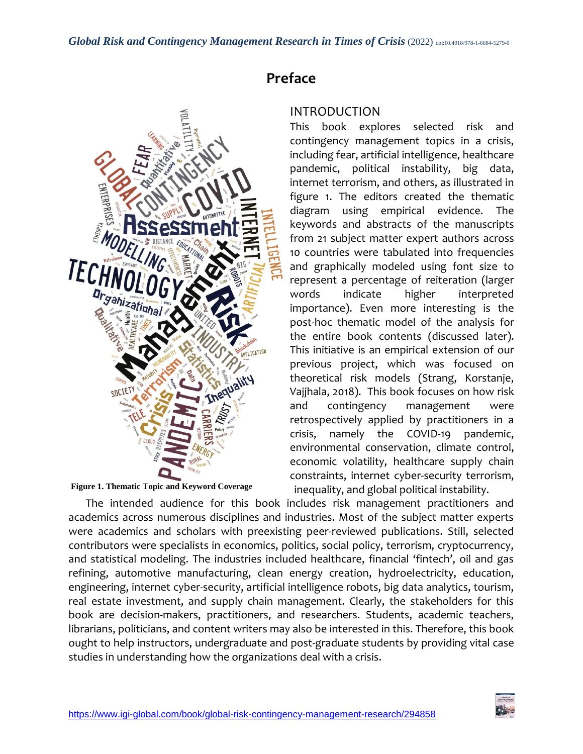

**Figure 1. Thematic Topic and Keyword Coverage**

# **Preface**

#### INTRODUCTION

This book explores selected risk and contingency management topics in a crisis, including fear, artificial intelligence, healthcare pandemic, political instability, big data, internet terrorism, and others, as illustrated in figure 1. The editors created the thematic diagram using empirical evidence. The keywords and abstracts of the manuscripts from 21 subject matter expert authors across 10 countries were tabulated into frequencies and graphically modeled using font size to represent a percentage of reiteration (larger words indicate higher interpreted importance). Even more interesting is the post-hoc thematic model of the analysis for the entire book contents (discussed later). This initiative is an empirical extension of our previous project, which was focused on theoretical risk models (Strang, Korstanje, Vajjhala, 2018). This book focuses on how risk and contingency management were retrospectively applied by practitioners in a crisis, namely the COVID-19 pandemic, environmental conservation, climate control, economic volatility, healthcare supply chain constraints, internet cyber-security terrorism, inequality, and global political instability.

The intended audience for this book includes risk management practitioners and academics across numerous disciplines and industries. Most of the subject matter experts were academics and scholars with preexisting peer-reviewed publications. Still, selected contributors were specialists in economics, politics, social policy, terrorism, cryptocurrency, and statistical modeling. The industries included healthcare, financial 'fintech', oil and gas refining, automotive manufacturing, clean energy creation, hydroelectricity, education, engineering, internet cyber-security, artificial intelligence robots, big data analytics, tourism, real estate investment, and supply chain management. Clearly, the stakeholders for this book are decision-makers, practitioners, and researchers. Students, academic teachers, librarians, politicians, and content writers may also be interested in this. Therefore, this book ought to help instructors, undergraduate and post-graduate students by providing vital case studies in understanding how the organizations deal with a crisis.

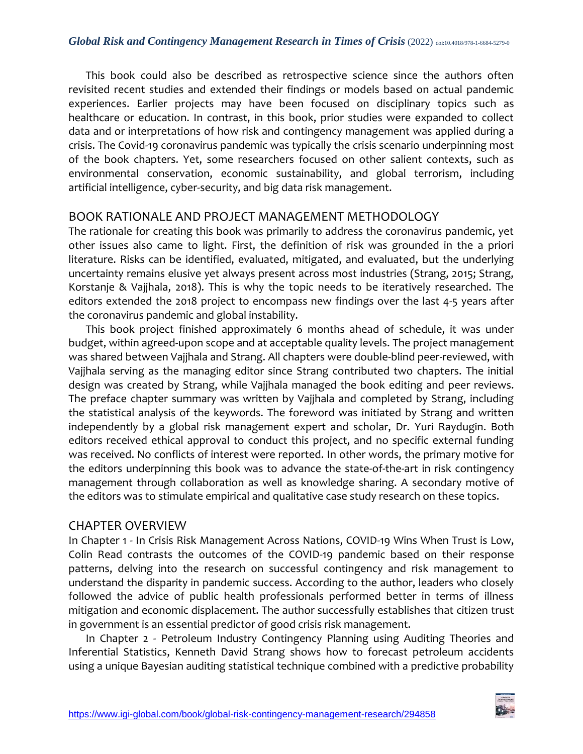This book could also be described as retrospective science since the authors often revisited recent studies and extended their findings or models based on actual pandemic experiences. Earlier projects may have been focused on disciplinary topics such as healthcare or education. In contrast, in this book, prior studies were expanded to collect data and or interpretations of how risk and contingency management was applied during a crisis. The Covid-19 coronavirus pandemic was typically the crisis scenario underpinning most of the book chapters. Yet, some researchers focused on other salient contexts, such as environmental conservation, economic sustainability, and global terrorism, including artificial intelligence, cyber-security, and big data risk management.

# BOOK RATIONALE AND PROJECT MANAGEMENT METHODOLOGY

The rationale for creating this book was primarily to address the coronavirus pandemic, yet other issues also came to light. First, the definition of risk was grounded in the a priori literature. Risks can be identified, evaluated, mitigated, and evaluated, but the underlying uncertainty remains elusive yet always present across most industries (Strang, 2015; Strang, Korstanje & Vajjhala, 2018). This is why the topic needs to be iteratively researched. The editors extended the 2018 project to encompass new findings over the last 4-5 years after the coronavirus pandemic and global instability.

This book project finished approximately 6 months ahead of schedule, it was under budget, within agreed-upon scope and at acceptable quality levels. The project management was shared between Vajjhala and Strang. All chapters were double-blind peer-reviewed, with Vajjhala serving as the managing editor since Strang contributed two chapters. The initial design was created by Strang, while Vajjhala managed the book editing and peer reviews. The preface chapter summary was written by Vajjhala and completed by Strang, including the statistical analysis of the keywords. The foreword was initiated by Strang and written independently by a global risk management expert and scholar, Dr. Yuri Raydugin. Both editors received ethical approval to conduct this project, and no specific external funding was received. No conflicts of interest were reported. In other words, the primary motive for the editors underpinning this book was to advance the state-of-the-art in risk contingency management through collaboration as well as knowledge sharing. A secondary motive of the editors was to stimulate empirical and qualitative case study research on these topics.

## CHAPTER OVERVIEW

In Chapter 1 - In Crisis Risk Management Across Nations, COVID-19 Wins When Trust is Low, Colin Read contrasts the outcomes of the COVID-19 pandemic based on their response patterns, delving into the research on successful contingency and risk management to understand the disparity in pandemic success. According to the author, leaders who closely followed the advice of public health professionals performed better in terms of illness mitigation and economic displacement. The author successfully establishes that citizen trust in government is an essential predictor of good crisis risk management.

In Chapter 2 - Petroleum Industry Contingency Planning using Auditing Theories and Inferential Statistics, Kenneth David Strang shows how to forecast petroleum accidents using a unique Bayesian auditing statistical technique combined with a predictive probability

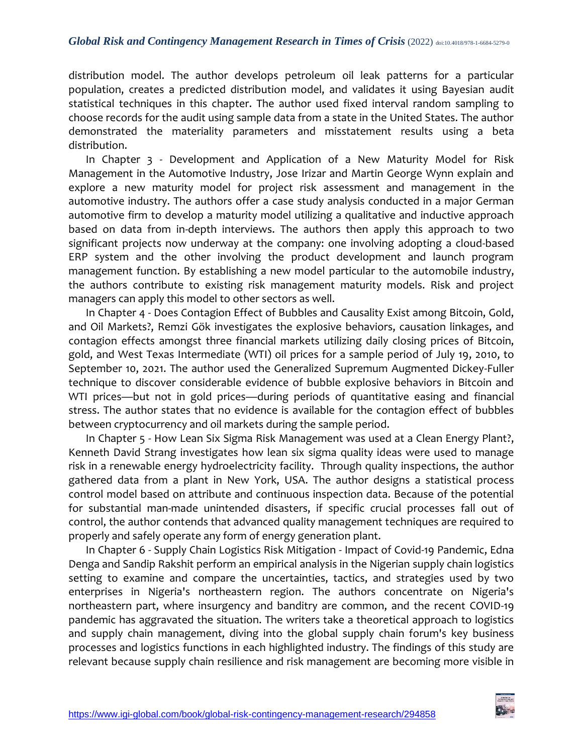distribution model. The author develops petroleum oil leak patterns for a particular population, creates a predicted distribution model, and validates it using Bayesian audit statistical techniques in this chapter. The author used fixed interval random sampling to choose records for the audit using sample data from a state in the United States. The author demonstrated the materiality parameters and misstatement results using a beta distribution.

In Chapter 3 - Development and Application of a New Maturity Model for Risk Management in the Automotive Industry, Jose Irizar and Martin George Wynn explain and explore a new maturity model for project risk assessment and management in the automotive industry. The authors offer a case study analysis conducted in a major German automotive firm to develop a maturity model utilizing a qualitative and inductive approach based on data from in-depth interviews. The authors then apply this approach to two significant projects now underway at the company: one involving adopting a cloud-based ERP system and the other involving the product development and launch program management function. By establishing a new model particular to the automobile industry, the authors contribute to existing risk management maturity models. Risk and project managers can apply this model to other sectors as well.

In Chapter 4 - Does Contagion Effect of Bubbles and Causality Exist among Bitcoin, Gold, and Oil Markets?, Remzi Gök investigates the explosive behaviors, causation linkages, and contagion effects amongst three financial markets utilizing daily closing prices of Bitcoin, gold, and West Texas Intermediate (WTI) oil prices for a sample period of July 19, 2010, to September 10, 2021. The author used the Generalized Supremum Augmented Dickey-Fuller technique to discover considerable evidence of bubble explosive behaviors in Bitcoin and WTI prices—but not in gold prices—during periods of quantitative easing and financial stress. The author states that no evidence is available for the contagion effect of bubbles between cryptocurrency and oil markets during the sample period.

In Chapter 5 - How Lean Six Sigma Risk Management was used at a Clean Energy Plant?, Kenneth David Strang investigates how lean six sigma quality ideas were used to manage risk in a renewable energy hydroelectricity facility. Through quality inspections, the author gathered data from a plant in New York, USA. The author designs a statistical process control model based on attribute and continuous inspection data. Because of the potential for substantial man-made unintended disasters, if specific crucial processes fall out of control, the author contends that advanced quality management techniques are required to properly and safely operate any form of energy generation plant.

In Chapter 6 - Supply Chain Logistics Risk Mitigation - Impact of Covid-19 Pandemic, Edna Denga and Sandip Rakshit perform an empirical analysis in the Nigerian supply chain logistics setting to examine and compare the uncertainties, tactics, and strategies used by two enterprises in Nigeria's northeastern region. The authors concentrate on Nigeria's northeastern part, where insurgency and banditry are common, and the recent COVID-19 pandemic has aggravated the situation. The writers take a theoretical approach to logistics and supply chain management, diving into the global supply chain forum's key business processes and logistics functions in each highlighted industry. The findings of this study are relevant because supply chain resilience and risk management are becoming more visible in

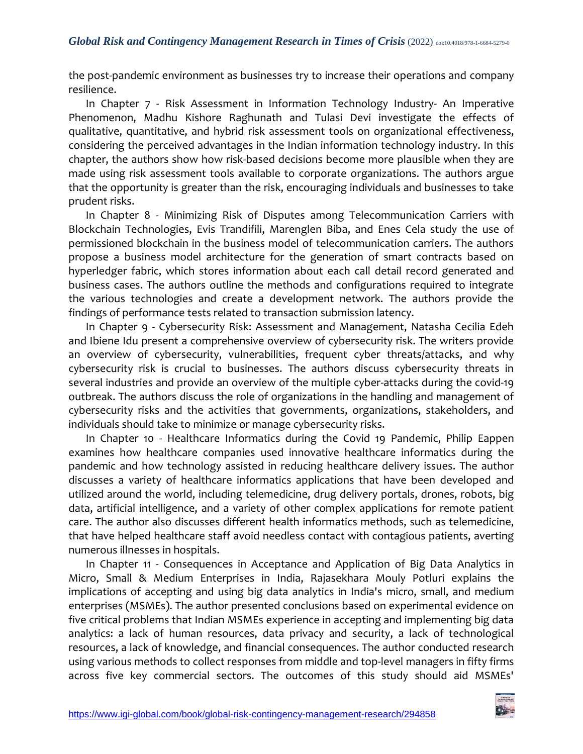the post-pandemic environment as businesses try to increase their operations and company resilience.

In Chapter 7 - Risk Assessment in Information Technology Industry- An Imperative Phenomenon, Madhu Kishore Raghunath and Tulasi Devi investigate the effects of qualitative, quantitative, and hybrid risk assessment tools on organizational effectiveness, considering the perceived advantages in the Indian information technology industry. In this chapter, the authors show how risk-based decisions become more plausible when they are made using risk assessment tools available to corporate organizations. The authors argue that the opportunity is greater than the risk, encouraging individuals and businesses to take prudent risks.

In Chapter 8 - Minimizing Risk of Disputes among Telecommunication Carriers with Blockchain Technologies, Evis Trandifili, Marenglen Biba, and Enes Cela study the use of permissioned blockchain in the business model of telecommunication carriers. The authors propose a business model architecture for the generation of smart contracts based on hyperledger fabric, which stores information about each call detail record generated and business cases. The authors outline the methods and configurations required to integrate the various technologies and create a development network. The authors provide the findings of performance tests related to transaction submission latency.

In Chapter 9 - Cybersecurity Risk: Assessment and Management, Natasha Cecilia Edeh and Ibiene Idu present a comprehensive overview of cybersecurity risk. The writers provide an overview of cybersecurity, vulnerabilities, frequent cyber threats/attacks, and why cybersecurity risk is crucial to businesses. The authors discuss cybersecurity threats in several industries and provide an overview of the multiple cyber-attacks during the covid-19 outbreak. The authors discuss the role of organizations in the handling and management of cybersecurity risks and the activities that governments, organizations, stakeholders, and individuals should take to minimize or manage cybersecurity risks.

In Chapter 10 - Healthcare Informatics during the Covid 19 Pandemic, Philip Eappen examines how healthcare companies used innovative healthcare informatics during the pandemic and how technology assisted in reducing healthcare delivery issues. The author discusses a variety of healthcare informatics applications that have been developed and utilized around the world, including telemedicine, drug delivery portals, drones, robots, big data, artificial intelligence, and a variety of other complex applications for remote patient care. The author also discusses different health informatics methods, such as telemedicine, that have helped healthcare staff avoid needless contact with contagious patients, averting numerous illnesses in hospitals.

In Chapter 11 - Consequences in Acceptance and Application of Big Data Analytics in Micro, Small & Medium Enterprises in India, Rajasekhara Mouly Potluri explains the implications of accepting and using big data analytics in India's micro, small, and medium enterprises (MSMEs). The author presented conclusions based on experimental evidence on five critical problems that Indian MSMEs experience in accepting and implementing big data analytics: a lack of human resources, data privacy and security, a lack of technological resources, a lack of knowledge, and financial consequences. The author conducted research using various methods to collect responses from middle and top-level managers in fifty firms across five key commercial sectors. The outcomes of this study should aid MSMEs'

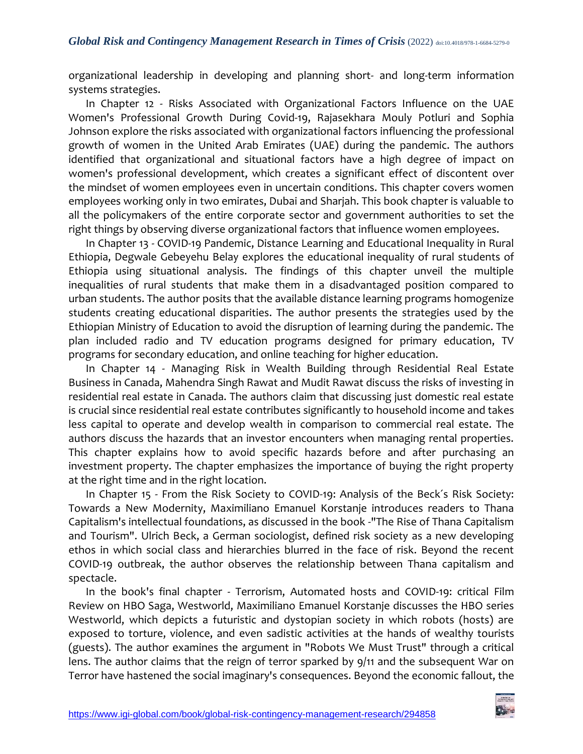organizational leadership in developing and planning short- and long-term information systems strategies.

In Chapter 12 - Risks Associated with Organizational Factors Influence on the UAE Women's Professional Growth During Covid-19, Rajasekhara Mouly Potluri and Sophia Johnson explore the risks associated with organizational factors influencing the professional growth of women in the United Arab Emirates (UAE) during the pandemic. The authors identified that organizational and situational factors have a high degree of impact on women's professional development, which creates a significant effect of discontent over the mindset of women employees even in uncertain conditions. This chapter covers women employees working only in two emirates, Dubai and Sharjah. This book chapter is valuable to all the policymakers of the entire corporate sector and government authorities to set the right things by observing diverse organizational factors that influence women employees.

In Chapter 13 - COVID-19 Pandemic, Distance Learning and Educational Inequality in Rural Ethiopia, Degwale Gebeyehu Belay explores the educational inequality of rural students of Ethiopia using situational analysis. The findings of this chapter unveil the multiple inequalities of rural students that make them in a disadvantaged position compared to urban students. The author posits that the available distance learning programs homogenize students creating educational disparities. The author presents the strategies used by the Ethiopian Ministry of Education to avoid the disruption of learning during the pandemic. The plan included radio and TV education programs designed for primary education, TV programs for secondary education, and online teaching for higher education.

In Chapter 14 - Managing Risk in Wealth Building through Residential Real Estate Business in Canada, Mahendra Singh Rawat and Mudit Rawat discuss the risks of investing in residential real estate in Canada. The authors claim that discussing just domestic real estate is crucial since residential real estate contributes significantly to household income and takes less capital to operate and develop wealth in comparison to commercial real estate. The authors discuss the hazards that an investor encounters when managing rental properties. This chapter explains how to avoid specific hazards before and after purchasing an investment property. The chapter emphasizes the importance of buying the right property at the right time and in the right location.

In Chapter 15 - From the Risk Society to COVID-19: Analysis of the Beck´s Risk Society: Towards a New Modernity, Maximiliano Emanuel Korstanje introduces readers to Thana Capitalism's intellectual foundations, as discussed in the book -"The Rise of Thana Capitalism and Tourism". Ulrich Beck, a German sociologist, defined risk society as a new developing ethos in which social class and hierarchies blurred in the face of risk. Beyond the recent COVID-19 outbreak, the author observes the relationship between Thana capitalism and spectacle.

In the book's final chapter - Terrorism, Automated hosts and COVID-19: critical Film Review on HBO Saga, Westworld, Maximiliano Emanuel Korstanje discusses the HBO series Westworld, which depicts a futuristic and dystopian society in which robots (hosts) are exposed to torture, violence, and even sadistic activities at the hands of wealthy tourists (guests). The author examines the argument in "Robots We Must Trust" through a critical lens. The author claims that the reign of terror sparked by 9/11 and the subsequent War on Terror have hastened the social imaginary's consequences. Beyond the economic fallout, the

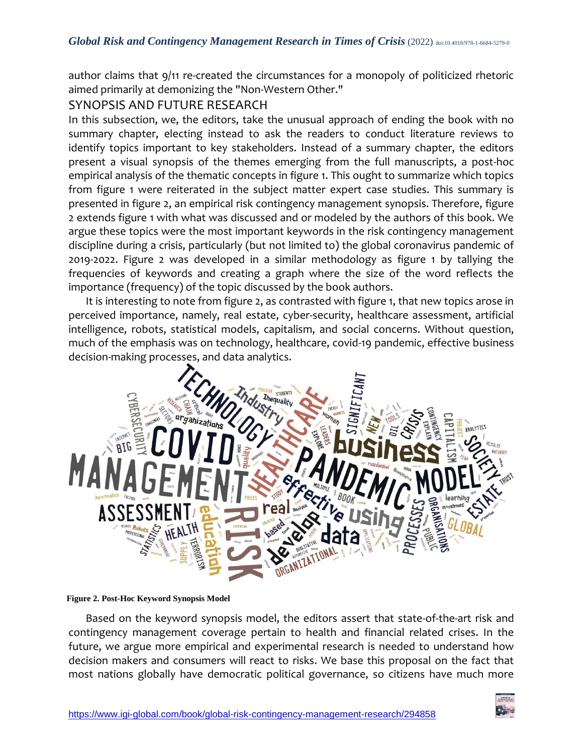author claims that 9/11 re-created the circumstances for a monopoly of politicized rhetoric aimed primarily at demonizing the "Non-Western Other."

## SYNOPSIS AND FUTURE RESEARCH

In this subsection, we, the editors, take the unusual approach of ending the book with no summary chapter, electing instead to ask the readers to conduct literature reviews to identify topics important to key stakeholders. Instead of a summary chapter, the editors present a visual synopsis of the themes emerging from the full manuscripts, a post-hoc empirical analysis of the thematic concepts in figure 1. This ought to summarize which topics from figure 1 were reiterated in the subject matter expert case studies. This summary is presented in figure 2, an empirical risk contingency management synopsis. Therefore, figure 2 extends figure 1 with what was discussed and or modeled by the authors of this book. We argue these topics were the most important keywords in the risk contingency management discipline during a crisis, particularly (but not limited to) the global coronavirus pandemic of 2019-2022. Figure 2 was developed in a similar methodology as figure 1 by tallying the frequencies of keywords and creating a graph where the size of the word reflects the importance (frequency) of the topic discussed by the book authors.

It is interesting to note from figure 2, as contrasted with figure 1, that new topics arose in perceived importance, namely, real estate, cyber-security, healthcare assessment, artificial intelligence, robots, statistical models, capitalism, and social concerns. Without question, much of the emphasis was on technology, healthcare, covid-19 pandemic, effective business decision-making processes, and data analytics.



#### **Figure 2. Post-Hoc Keyword Synopsis Model**

Based on the keyword synopsis model, the editors assert that state-of-the-art risk and contingency management coverage pertain to health and financial related crises. In the future, we argue more empirical and experimental research is needed to understand how decision makers and consumers will react to risks. We base this proposal on the fact that most nations globally have democratic political governance, so citizens have much more